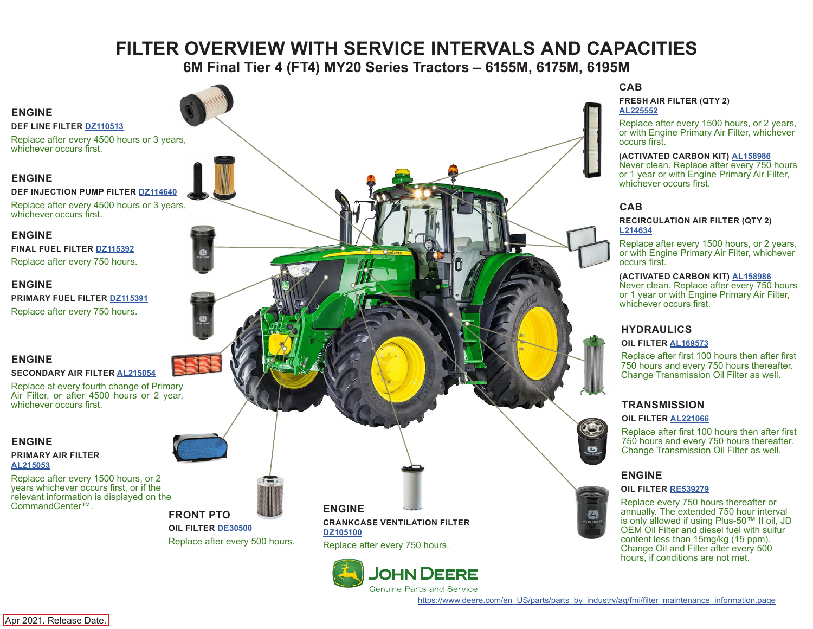# **FILTER OVERVIEW WITH SERVICE INTERVALS AND CAPACITIES**

**6M Final Tier 4 (FT4) MY20 Series Tractors – 6155M, 6175M, 6195M**

### <span id="page-0-0"></span>**ENGINE**

#### **DEF LINE FILTER [DZ110513](https://jdparts.deere.com/servlet/com.deere.u90.jdparts.view.servlets.partinfocontroller.PartDetails?screenName=JDSearch&&partSearchNumber=DZ110513)**

Replace after every 4500 hours or 3 years, whichever occurs first.

**DEF INJECTION PUMP FILTER [DZ114640](https://jdparts.deere.com/servlet/com.deere.u90.jdparts.view.servlets.partinfocontroller.PartDetails?screenName=JDSearch&&partSearchNumber=DZ114640)**

Replace after every 4500 hours or 3 years, whichever occurs first.

#### **ENGINE**

**FINAL FUEL FILTER [DZ115392](https://jdparts.deere.com/servlet/com.deere.u90.jdparts.view.servlets.partinfocontroller.PartDetails?screenName=JDSearch&&partSearchNumber=DZ115392)** Replace after every 750 hours.

#### **ENGINE**

**PRIMARY FUEL FILTER [DZ115391](https://jdparts.deere.com/servlet/com.deere.u90.jdparts.view.servlets.partinfocontroller.PartDetails?screenName=JDSearch&&partSearchNumber=DZ115391)** Replace after every 750 hours.

## **ENGINE**

**SECONDARY AIR FILTER [AL215054](https://jdparts.deere.com/servlet/com.deere.u90.jdparts.view.servlets.partinfocontroller.PartDetails?screenName=JDSearch&&partSearchNumber=AL215054)**

Replace at every fourth change of Primary Air Filter, or after 4500 hours or 2 year, whichever occurs first.

#### **ENGINE**

**PRIMARY AIR FILTER [AL215053](https://jdparts.deere.com/servlet/com.deere.u90.jdparts.view.servlets.partinfocontroller.PartDetails?screenName=JDSearch&&partSearchNumber=AL215053)**

Replace after every 1500 hours, or 2 years whichever occurs first, or if the relevant information is displayed on the CommandCenter™.



**FRONT PTO OIL FILTER [DE30500](https://jdparts.deere.com/servlet/com.deere.u90.jdparts.view.servlets.partinfocontroller.PartDetails?screenName=JDSearch&&partSearchNumber=DE30500)** Replace after every 500 hours. **ENGINE CRANKCASE VENTILATION FILTER [DZ105100](https://jdparts.deere.com/servlet/com.deere.u90.jdparts.view.servlets.partinfocontroller.PartDetails?screenName=JDSearch&&partSearchNumber=DZ105100)** Replace after every 750 hours.



#### **CAB**

**FRESH AIR FILTER (QTY 2) [AL225552](https://jdparts.deere.com/servlet/com.deere.u90.jdparts.view.servlets.partinfocontroller.PartDetails?screenName=JDSearch&&partSearchNumber=AL225552)**

Replace after every 1500 hours, or 2 years, or with Engine Primary Air Filter, whichever occurs first.

#### **(ACTIVATED CARBON KIT) [AL158986](https://jdparts.deere.com/servlet/com.deere.u90.jdparts.view.servlets.partinfocontroller.PartDetails?screenName=JDSearch&&partSearchNumber=AL177184)**

Never clean. Replace after every 750 hours or 1 year or with Engine Primary Air Filter, ENGINE **EXAMPLE SERVICE SERVICE SERVICE SERVICE SERVICE SERVICE SERVICE SERVICE SERVICE SERVICE SERVICE SERVICE SERVICE SERVICE SERVICE SERVICE SERVICE SERVICE SERVICE SERVICE SERVICE SERVICE SERVICE SERVICE SERVICE SERVIC** 

#### **CAB**

#### **RECIRCULATION AIR FILTER (QTY 2) [L214634](https://jdparts.deere.com/servlet/com.deere.u90.jdparts.view.servlets.partinfocontroller.PartDetails?screenName=JDSearch&&partSearchNumber=L214634)**

Replace after every 1500 hours, or 2 years, or with Engine Primary Air Filter, whichever occurs first.

#### **(ACTIVATED CARBON KIT) [AL158986](https://jdparts.deere.com/servlet/com.deere.u90.jdparts.view.servlets.partinfocontroller.PartDetails?screenName=JDSearch&&partSearchNumber=AL177184)**

Never clean. Replace after every 750 hours or 1 year or with Engine Primary Air Filter, whichever occurs first.

# **HYDRAULICS**

#### **OIL FILTER [AL169573](https://jdparts.deere.com/servlet/com.deere.u90.jdparts.view.servlets.partinfocontroller.PartDetails?screenName=JDSearch&&partSearchNumber=AL169573)**

Replace after first 100 hours then after first 750 hours and every 750 hours thereafter. Change Transmission Oil Filter as well.

# **TRANSMISSION**

#### **OIL FILTER [AL221066](https://jdparts.deere.com/servlet/com.deere.u90.jdparts.view.servlets.partinfocontroller.PartDetails?screenName=JDSearch&&partSearchNumber=AL221066)**

Replace after first 100 hours then after first 750 hours and every 750 hours thereafter. Change Transmission Oil Filter as well.

### **ENGINE**

#### **OIL FILTER [RE539279](https://jdparts.deere.com/servlet/com.deere.u90.jdparts.view.servlets.partinfocontroller.PartDetails?screenName=JDSearch&&partSearchNumber=RE539279)**

Replace every 750 hours thereafter or annually. The extended 750 hour interval is only allowed if using Plus-50™ II oil, JD OEM Oil Filter and diesel fuel with sulfur content less than 15mg/kg (15 ppm). Change Oil and Filter after every 500 hours, if conditions are not met.

[https://www.deere.com/en\\_US/parts/parts\\_by\\_industry/ag/fmi/filter\\_maintenance\\_information.page](https://www.deere.com/en_US/parts/parts_by_industry/ag/fmi/filter_maintenance_information.page)

Apr 2021. Release Date.